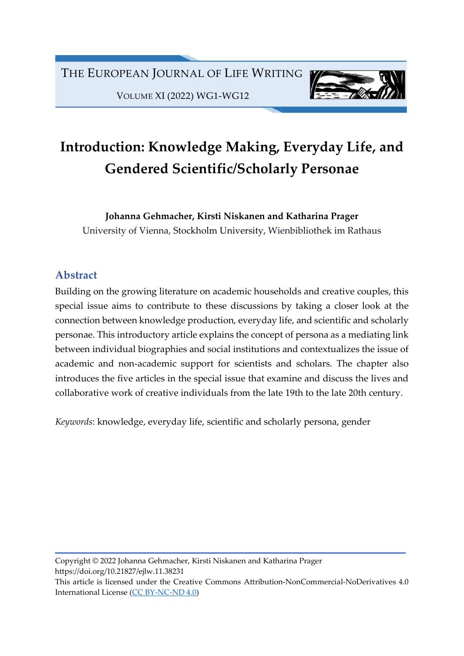VOLUME XI (2022) WG1-WG12



# Introduction: Knowledge Making, Everyday Life, and Gendered Scientific/Scholarly Personae

Johanna Gehmacher, Kirsti Niskanen and Katharina Prager

University of Vienna, Stockholm University, Wienbibliothek im Rathaus

# Abstract

Building on the growing literature on academic households and creative couples, this special issue aims to contribute to these discussions by taking a closer look at the connection between knowledge production, everyday life, and scientific and scholarly personae. This introductory article explains the concept of persona as a mediating link between individual biographies and social institutions and contextualizes the issue of academic and non-academic support for scientists and scholars. The chapter also introduces the five articles in the special issue that examine and discuss the lives and collaborative work of creative individuals from the late 19th to the late 20th century.

Keywords: knowledge, everyday life, scientific and scholarly persona, gender

Copyright © 2022 Johanna Gehmacher, Kirsti Niskanen and Katharina Prager https://doi.org/10.21827/ejlw.11.38231

This article is licensed under the Creative Commons Attribution-NonCommercial-NoDerivatives 4.0 International License (CC BY-NC-ND 4.0)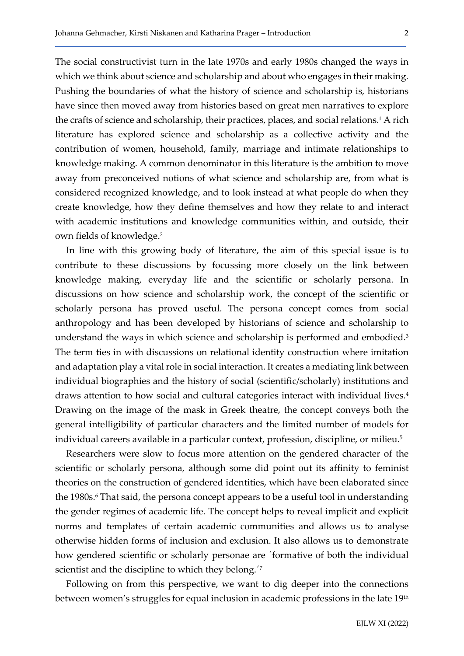The social constructivist turn in the late 1970s and early 1980s changed the ways in which we think about science and scholarship and about who engages in their making. Pushing the boundaries of what the history of science and scholarship is, historians have since then moved away from histories based on great men narratives to explore the crafts of science and scholarship, their practices, places, and social relations.<sup>1</sup> A rich literature has explored science and scholarship as a collective activity and the contribution of women, household, family, marriage and intimate relationships to knowledge making. A common denominator in this literature is the ambition to move away from preconceived notions of what science and scholarship are, from what is considered recognized knowledge, and to look instead at what people do when they create knowledge, how they define themselves and how they relate to and interact with academic institutions and knowledge communities within, and outside, their own fields of knowledge.<sup>2</sup>

In line with this growing body of literature, the aim of this special issue is to contribute to these discussions by focussing more closely on the link between knowledge making, everyday life and the scientific or scholarly persona. In discussions on how science and scholarship work, the concept of the scientific or scholarly persona has proved useful. The persona concept comes from social anthropology and has been developed by historians of science and scholarship to understand the ways in which science and scholarship is performed and embodied.<sup>3</sup> The term ties in with discussions on relational identity construction where imitation and adaptation play a vital role in social interaction. It creates a mediating link between individual biographies and the history of social (scientific/scholarly) institutions and draws attention to how social and cultural categories interact with individual lives.<sup>4</sup> Drawing on the image of the mask in Greek theatre, the concept conveys both the general intelligibility of particular characters and the limited number of models for individual careers available in a particular context, profession, discipline, or milieu.<sup>5</sup>

Researchers were slow to focus more attention on the gendered character of the scientific or scholarly persona, although some did point out its affinity to feminist theories on the construction of gendered identities, which have been elaborated since the 1980s.<sup>6</sup> That said, the persona concept appears to be a useful tool in understanding the gender regimes of academic life. The concept helps to reveal implicit and explicit norms and templates of certain academic communities and allows us to analyse otherwise hidden forms of inclusion and exclusion. It also allows us to demonstrate how gendered scientific or scholarly personae are ´formative of both the individual scientist and the discipline to which they belong.<sup>'7</sup>

Following on from this perspective, we want to dig deeper into the connections between women's struggles for equal inclusion in academic professions in the late 19<sup>th</sup>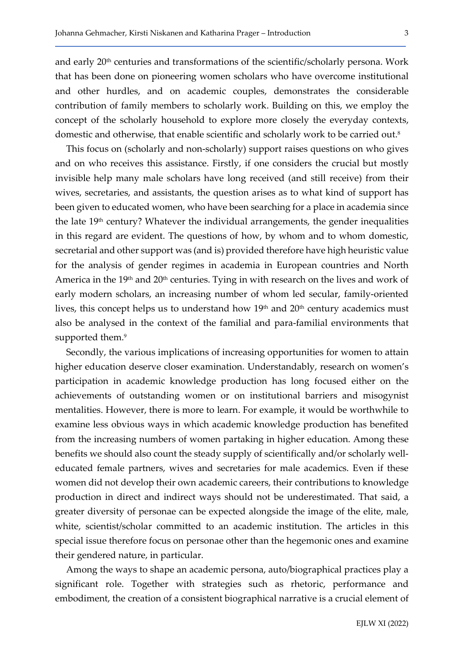and early 20th centuries and transformations of the scientific/scholarly persona. Work that has been done on pioneering women scholars who have overcome institutional and other hurdles, and on academic couples, demonstrates the considerable contribution of family members to scholarly work. Building on this, we employ the concept of the scholarly household to explore more closely the everyday contexts, domestic and otherwise, that enable scientific and scholarly work to be carried out.<sup>8</sup>

This focus on (scholarly and non-scholarly) support raises questions on who gives and on who receives this assistance. Firstly, if one considers the crucial but mostly invisible help many male scholars have long received (and still receive) from their wives, secretaries, and assistants, the question arises as to what kind of support has been given to educated women, who have been searching for a place in academia since the late  $19<sup>th</sup>$  century? Whatever the individual arrangements, the gender inequalities in this regard are evident. The questions of how, by whom and to whom domestic, secretarial and other support was (and is) provided therefore have high heuristic value for the analysis of gender regimes in academia in European countries and North America in the 19<sup>th</sup> and 20<sup>th</sup> centuries. Tying in with research on the lives and work of early modern scholars, an increasing number of whom led secular, family-oriented lives, this concept helps us to understand how  $19<sup>th</sup>$  and  $20<sup>th</sup>$  century academics must also be analysed in the context of the familial and para-familial environments that supported them.<sup>9</sup>

Secondly, the various implications of increasing opportunities for women to attain higher education deserve closer examination. Understandably, research on women's participation in academic knowledge production has long focused either on the achievements of outstanding women or on institutional barriers and misogynist mentalities. However, there is more to learn. For example, it would be worthwhile to examine less obvious ways in which academic knowledge production has benefited from the increasing numbers of women partaking in higher education. Among these benefits we should also count the steady supply of scientifically and/or scholarly welleducated female partners, wives and secretaries for male academics. Even if these women did not develop their own academic careers, their contributions to knowledge production in direct and indirect ways should not be underestimated. That said, a greater diversity of personae can be expected alongside the image of the elite, male, white, scientist/scholar committed to an academic institution. The articles in this special issue therefore focus on personae other than the hegemonic ones and examine their gendered nature, in particular.

Among the ways to shape an academic persona, auto/biographical practices play a significant role. Together with strategies such as rhetoric, performance and embodiment, the creation of a consistent biographical narrative is a crucial element of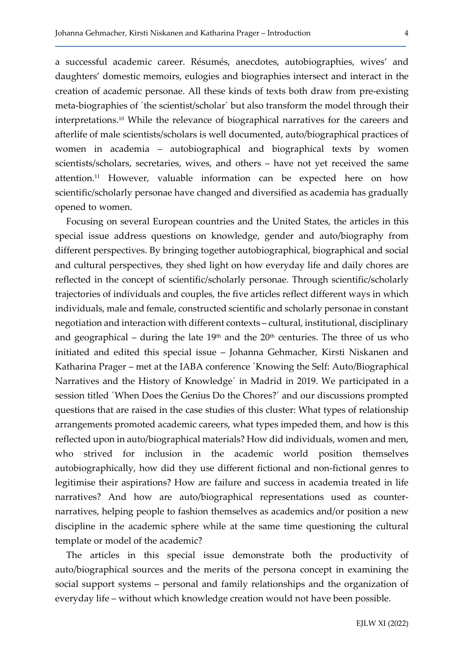a successful academic career. Résumés, anecdotes, autobiographies, wives' and daughters' domestic memoirs, eulogies and biographies intersect and interact in the creation of academic personae. All these kinds of texts both draw from pre-existing meta-biographies of ´the scientist/scholar´ but also transform the model through their interpretations.10 While the relevance of biographical narratives for the careers and afterlife of male scientists/scholars is well documented, auto/biographical practices of women in academia – autobiographical and biographical texts by women scientists/scholars, secretaries, wives, and others – have not yet received the same attention.<sup>11</sup> However, valuable information can be expected here on how scientific/scholarly personae have changed and diversified as academia has gradually opened to women.

Focusing on several European countries and the United States, the articles in this special issue address questions on knowledge, gender and auto/biography from different perspectives. By bringing together autobiographical, biographical and social and cultural perspectives, they shed light on how everyday life and daily chores are reflected in the concept of scientific/scholarly personae. Through scientific/scholarly trajectories of individuals and couples, the five articles reflect different ways in which individuals, male and female, constructed scientific and scholarly personae in constant negotiation and interaction with different contexts – cultural, institutional, disciplinary and geographical – during the late  $19<sup>th</sup>$  and the  $20<sup>th</sup>$  centuries. The three of us who initiated and edited this special issue – Johanna Gehmacher, Kirsti Niskanen and Katharina Prager – met at the IABA conference ´Knowing the Self: Auto/Biographical Narratives and the History of Knowledge´ in Madrid in 2019. We participated in a session titled ´When Does the Genius Do the Chores?´ and our discussions prompted questions that are raised in the case studies of this cluster: What types of relationship arrangements promoted academic careers, what types impeded them, and how is this reflected upon in auto/biographical materials? How did individuals, women and men, who strived for inclusion in the academic world position themselves autobiographically, how did they use different fictional and non-fictional genres to legitimise their aspirations? How are failure and success in academia treated in life narratives? And how are auto/biographical representations used as counternarratives, helping people to fashion themselves as academics and/or position a new discipline in the academic sphere while at the same time questioning the cultural template or model of the academic?

The articles in this special issue demonstrate both the productivity of auto/biographical sources and the merits of the persona concept in examining the social support systems – personal and family relationships and the organization of everyday life – without which knowledge creation would not have been possible.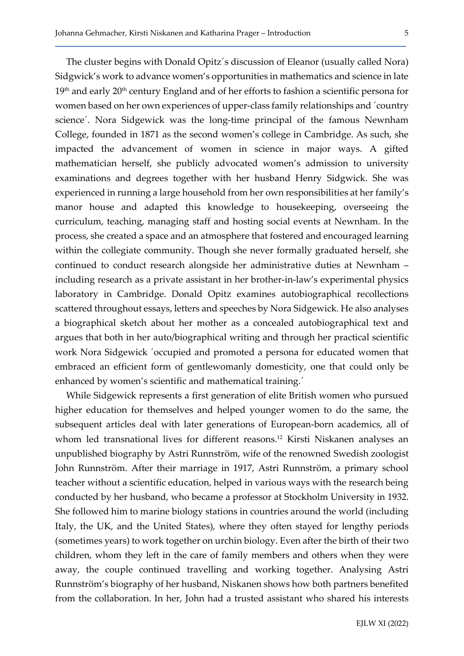The cluster begins with Donald Opitz´s discussion of Eleanor (usually called Nora) Sidgwick's work to advance women's opportunities in mathematics and science in late 19<sup>th</sup> and early 20<sup>th</sup> century England and of her efforts to fashion a scientific persona for women based on her own experiences of upper-class family relationships and ´country science´. Nora Sidgewick was the long-time principal of the famous Newnham College, founded in 1871 as the second women's college in Cambridge. As such, she impacted the advancement of women in science in major ways. A gifted mathematician herself, she publicly advocated women's admission to university examinations and degrees together with her husband Henry Sidgwick. She was experienced in running a large household from her own responsibilities at her family's manor house and adapted this knowledge to housekeeping, overseeing the curriculum, teaching, managing staff and hosting social events at Newnham. In the process, she created a space and an atmosphere that fostered and encouraged learning within the collegiate community. Though she never formally graduated herself, she continued to conduct research alongside her administrative duties at Newnham – including research as a private assistant in her brother-in-law's experimental physics laboratory in Cambridge. Donald Opitz examines autobiographical recollections scattered throughout essays, letters and speeches by Nora Sidgewick. He also analyses a biographical sketch about her mother as a concealed autobiographical text and argues that both in her auto/biographical writing and through her practical scientific work Nora Sidgewick ´occupied and promoted a persona for educated women that embraced an efficient form of gentlewomanly domesticity, one that could only be enhanced by women's scientific and mathematical training.´

While Sidgewick represents a first generation of elite British women who pursued higher education for themselves and helped younger women to do the same, the subsequent articles deal with later generations of European-born academics, all of whom led transnational lives for different reasons.12 Kirsti Niskanen analyses an unpublished biography by Astri Runnström, wife of the renowned Swedish zoologist John Runnström. After their marriage in 1917, Astri Runnström, a primary school teacher without a scientific education, helped in various ways with the research being conducted by her husband, who became a professor at Stockholm University in 1932. She followed him to marine biology stations in countries around the world (including Italy, the UK, and the United States), where they often stayed for lengthy periods (sometimes years) to work together on urchin biology. Even after the birth of their two children, whom they left in the care of family members and others when they were away, the couple continued travelling and working together. Analysing Astri Runnström's biography of her husband, Niskanen shows how both partners benefited from the collaboration. In her, John had a trusted assistant who shared his interests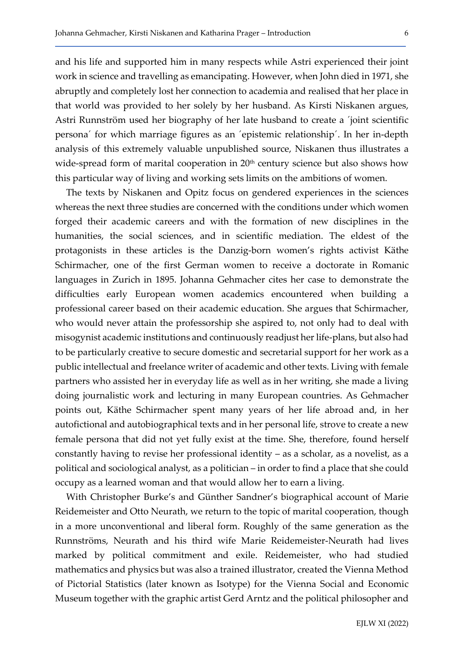and his life and supported him in many respects while Astri experienced their joint work in science and travelling as emancipating. However, when John died in 1971, she abruptly and completely lost her connection to academia and realised that her place in that world was provided to her solely by her husband. As Kirsti Niskanen argues, Astri Runnström used her biography of her late husband to create a ´joint scientific persona´ for which marriage figures as an ´epistemic relationship´. In her in-depth analysis of this extremely valuable unpublished source, Niskanen thus illustrates a wide-spread form of marital cooperation in 20<sup>th</sup> century science but also shows how this particular way of living and working sets limits on the ambitions of women.

The texts by Niskanen and Opitz focus on gendered experiences in the sciences whereas the next three studies are concerned with the conditions under which women forged their academic careers and with the formation of new disciplines in the humanities, the social sciences, and in scientific mediation. The eldest of the protagonists in these articles is the Danzig-born women's rights activist Käthe Schirmacher, one of the first German women to receive a doctorate in Romanic languages in Zurich in 1895. Johanna Gehmacher cites her case to demonstrate the difficulties early European women academics encountered when building a professional career based on their academic education. She argues that Schirmacher, who would never attain the professorship she aspired to, not only had to deal with misogynist academic institutions and continuously readjust her life-plans, but also had to be particularly creative to secure domestic and secretarial support for her work as a public intellectual and freelance writer of academic and other texts. Living with female partners who assisted her in everyday life as well as in her writing, she made a living doing journalistic work and lecturing in many European countries. As Gehmacher points out, Käthe Schirmacher spent many years of her life abroad and, in her autofictional and autobiographical texts and in her personal life, strove to create a new female persona that did not yet fully exist at the time. She, therefore, found herself constantly having to revise her professional identity – as a scholar, as a novelist, as a political and sociological analyst, as a politician – in order to find a place that she could occupy as a learned woman and that would allow her to earn a living.

With Christopher Burke's and Günther Sandner's biographical account of Marie Reidemeister and Otto Neurath, we return to the topic of marital cooperation, though in a more unconventional and liberal form. Roughly of the same generation as the Runnströms, Neurath and his third wife Marie Reidemeister-Neurath had lives marked by political commitment and exile. Reidemeister, who had studied mathematics and physics but was also a trained illustrator, created the Vienna Method of Pictorial Statistics (later known as Isotype) for the Vienna Social and Economic Museum together with the graphic artist Gerd Arntz and the political philosopher and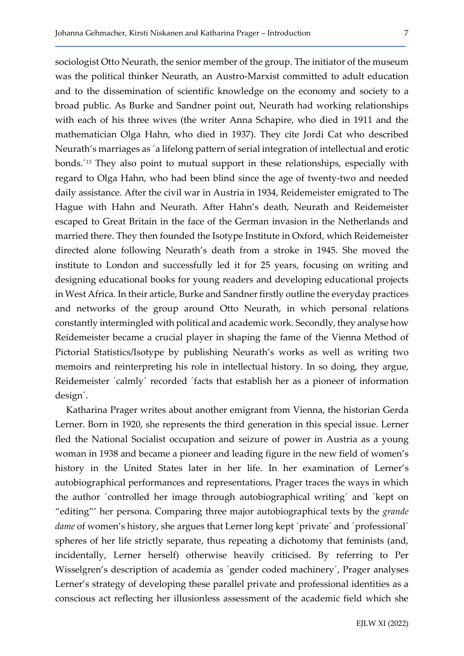sociologist Otto Neurath, the senior member of the group. The initiator of the museum was the political thinker Neurath, an Austro-Marxist committed to adult education and to the dissemination of scientific knowledge on the economy and society to a broad public. As Burke and Sandner point out, Neurath had working relationships with each of his three wives (the writer Anna Schapire, who died in 1911 and the mathematician Olga Hahn, who died in 1937). They cite Jordi Cat who described Neurath's marriages as ´a lifelong pattern of serial integration of intellectual and erotic bonds.´13 They also point to mutual support in these relationships, especially with regard to Olga Hahn, who had been blind since the age of twenty-two and needed daily assistance. After the civil war in Austria in 1934, Reidemeister emigrated to The Hague with Hahn and Neurath. After Hahn's death, Neurath and Reidemeister escaped to Great Britain in the face of the German invasion in the Netherlands and married there. They then founded the Isotype Institute in Oxford, which Reidemeister directed alone following Neurath's death from a stroke in 1945. She moved the institute to London and successfully led it for 25 years, focusing on writing and designing educational books for young readers and developing educational projects in West Africa. In their article, Burke and Sandner firstly outline the everyday practices and networks of the group around Otto Neurath, in which personal relations constantly intermingled with political and academic work. Secondly, they analyse how Reidemeister became a crucial player in shaping the fame of the Vienna Method of Pictorial Statistics/Isotype by publishing Neurath's works as well as writing two memoirs and reinterpreting his role in intellectual history. In so doing, they argue, Reidemeister ´calmly´ recorded ´facts that establish her as a pioneer of information design´.

Katharina Prager writes about another emigrant from Vienna, the historian Gerda Lerner. Born in 1920, she represents the third generation in this special issue. Lerner fled the National Socialist occupation and seizure of power in Austria as a young woman in 1938 and became a pioneer and leading figure in the new field of women's history in the United States later in her life. In her examination of Lerner's autobiographical performances and representations, Prager traces the ways in which the author ´controlled her image through autobiographical writing´ and ´kept on "editing"' her persona. Comparing three major autobiographical texts by the *grande* dame of women's history, she argues that Lerner long kept 'private' and 'professional' spheres of her life strictly separate, thus repeating a dichotomy that feminists (and, incidentally, Lerner herself) otherwise heavily criticised. By referring to Per Wisselgren's description of academia as ´gender coded machinery´, Prager analyses Lerner's strategy of developing these parallel private and professional identities as a conscious act reflecting her illusionless assessment of the academic field which she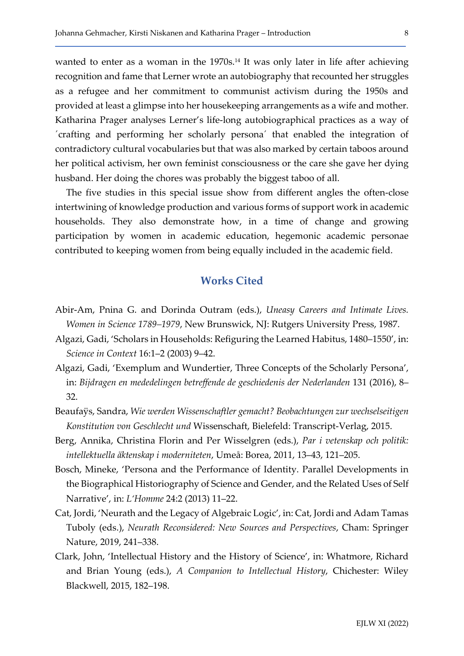wanted to enter as a woman in the 1970s.<sup>14</sup> It was only later in life after achieving recognition and fame that Lerner wrote an autobiography that recounted her struggles as a refugee and her commitment to communist activism during the 1950s and provided at least a glimpse into her housekeeping arrangements as a wife and mother. Katharina Prager analyses Lerner's life-long autobiographical practices as a way of ´crafting and performing her scholarly persona´ that enabled the integration of contradictory cultural vocabularies but that was also marked by certain taboos around her political activism, her own feminist consciousness or the care she gave her dying husband. Her doing the chores was probably the biggest taboo of all.

The five studies in this special issue show from different angles the often-close intertwining of knowledge production and various forms of support work in academic households. They also demonstrate how, in a time of change and growing participation by women in academic education, hegemonic academic personae contributed to keeping women from being equally included in the academic field.

## Works Cited

- Abir-Am, Pnina G. and Dorinda Outram (eds.), Uneasy Careers and Intimate Lives. Women in Science 1789–1979, New Brunswick, NJ: Rutgers University Press, 1987.
- Algazi, Gadi, 'Scholars in Households: Refiguring the Learned Habitus, 1480–1550', in: Science in Context 16:1–2 (2003) 9–42.
- Algazi, Gadi, 'Exemplum and Wundertier, Three Concepts of the Scholarly Persona', in: Bijdragen en mededelingen betreffende de geschiedenis der Nederlanden 131 (2016), 8– 32.
- Beaufaÿs, Sandra, Wie werden Wissenschaftler gemacht? Beobachtungen zur wechselseitigen Konstitution von Geschlecht und Wissenschaft, Bielefeld: Transcript-Verlag, 2015.
- Berg, Annika, Christina Florin and Per Wisselgren (eds.), Par i vetenskap och politik: intellektuella äktenskap i moderniteten, Umeå: Borea, 2011, 13–43, 121–205.
- Bosch, Mineke, 'Persona and the Performance of Identity. Parallel Developments in the Biographical Historiography of Science and Gender, and the Related Uses of Self Narrative', in: L'Homme 24:2 (2013) 11–22.
- Cat, Jordi, 'Neurath and the Legacy of Algebraic Logic', in: Cat, Jordi and Adam Tamas Tuboly (eds.), Neurath Reconsidered: New Sources and Perspectives, Cham: Springer Nature, 2019, 241–338.
- Clark, John, 'Intellectual History and the History of Science', in: Whatmore, Richard and Brian Young (eds.), A Companion to Intellectual History, Chichester: Wiley Blackwell, 2015, 182–198.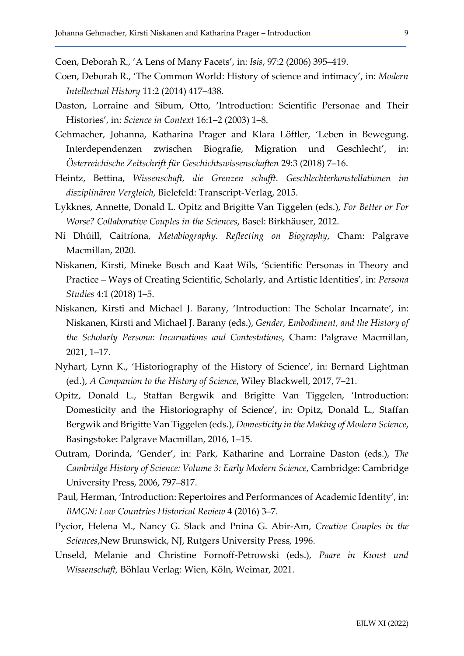Coen, Deborah R., 'A Lens of Many Facets', in: Isis, 97:2 (2006) 395–419.

- Coen, Deborah R., 'The Common World: History of science and intimacy', in: Modern Intellectual History 11:2 (2014) 417–438.
- Daston, Lorraine and Sibum, Otto, 'Introduction: Scientific Personae and Their Histories', in: Science in Context 16:1–2 (2003) 1–8.
- Gehmacher, Johanna, Katharina Prager and Klara Löffler, 'Leben in Bewegung. Interdependenzen zwischen Biografie, Migration und Geschlecht', in: Österreichische Zeitschrift für Geschichtswissenschaften 29:3 (2018) 7–16.
- Heintz, Bettina, Wissenschaft, die Grenzen schafft. Geschlechterkonstellationen im disziplinären Vergleich, Bielefeld: Transcript-Verlag, 2015.
- Lykknes, Annette, Donald L. Opitz and Brigitte Van Tiggelen (eds.), For Better or For Worse? Collaborative Couples in the Sciences, Basel: Birkhäuser, 2012.
- Ní Dhúill, Caitríona, Metabiography. Reflecting on Biography, Cham: Palgrave Macmillan, 2020.
- Niskanen, Kirsti, Mineke Bosch and Kaat Wils, 'Scientific Personas in Theory and Practice – Ways of Creating Scientific, Scholarly, and Artistic Identities', in: Persona Studies 4:1 (2018) 1–5.
- Niskanen, Kirsti and Michael J. Barany, 'Introduction: The Scholar Incarnate', in: Niskanen, Kirsti and Michael J. Barany (eds.), Gender, Embodiment, and the History of the Scholarly Persona: Incarnations and Contestations, Cham: Palgrave Macmillan, 2021, 1–17.
- Nyhart, Lynn K., 'Historiography of the History of Science', in: Bernard Lightman (ed.), A Companion to the History of Science, Wiley Blackwell, 2017, 7–21.
- Opitz, Donald L., Staffan Bergwik and Brigitte Van Tiggelen, 'Introduction: Domesticity and the Historiography of Science', in: Opitz, Donald L., Staffan Bergwik and Brigitte Van Tiggelen (eds.), Domesticity in the Making of Modern Science, Basingstoke: Palgrave Macmillan, 2016, 1–15.
- Outram, Dorinda, 'Gender', in: Park, Katharine and Lorraine Daston (eds.), The Cambridge History of Science: Volume 3: Early Modern Science, Cambridge: Cambridge University Press, 2006, 797–817.
- Paul, Herman, 'Introduction: Repertoires and Performances of Academic Identity', in: BMGN: Low Countries Historical Review 4 (2016) 3–7.
- Pycior, Helena M., Nancy G. Slack and Pnina G. Abir-Am, Creative Couples in the Sciences,New Brunswick, NJ, Rutgers University Press, 1996.
- Unseld, Melanie and Christine Fornoff-Petrowski (eds.), Paare in Kunst und Wissenschaft, Böhlau Verlag: Wien, Köln, Weimar, 2021.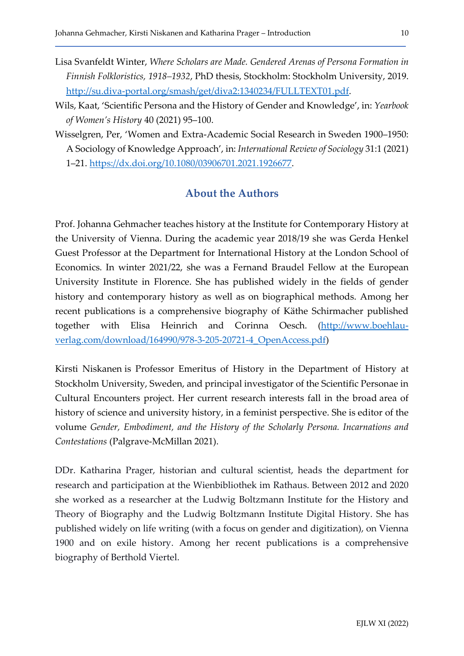- Lisa Svanfeldt Winter, Where Scholars are Made. Gendered Arenas of Persona Formation in Finnish Folkloristics, 1918–1932, PhD thesis, Stockholm: Stockholm University, 2019. http://su.diva-portal.org/smash/get/diva2:1340234/FULLTEXT01.pdf.
- Wils, Kaat, 'Scientific Persona and the History of Gender and Knowledge', in: Yearbook of Women's History 40 (2021) 95–100.
- Wisselgren, Per, 'Women and Extra-Academic Social Research in Sweden 1900–1950: A Sociology of Knowledge Approach', in: International Review of Sociology 31:1 (2021) 1–21. https://dx.doi.org/10.1080/03906701.2021.1926677.

### About the Authors

Prof. Johanna Gehmacher teaches history at the Institute for Contemporary History at the University of Vienna. During the academic year 2018/19 she was Gerda Henkel Guest Professor at the Department for International History at the London School of Economics. In winter 2021/22, she was a Fernand Braudel Fellow at the European University Institute in Florence. She has published widely in the fields of gender history and contemporary history as well as on biographical methods. Among her recent publications is a comprehensive biography of Käthe Schirmacher published together with Elisa Heinrich and Corinna Oesch. (http://www.boehlauverlag.com/download/164990/978-3-205-20721-4\_OpenAccess.pdf)

Kirsti Niskanen is Professor Emeritus of History in the Department of History at Stockholm University, Sweden, and principal investigator of the Scientific Personae in Cultural Encounters project. Her current research interests fall in the broad area of history of science and university history, in a feminist perspective. She is editor of the volume Gender, Embodiment, and the History of the Scholarly Persona. Incarnations and Contestations (Palgrave-McMillan 2021).

DDr. Katharina Prager, historian and cultural scientist, heads the department for research and participation at the Wienbibliothek im Rathaus. Between 2012 and 2020 she worked as a researcher at the Ludwig Boltzmann Institute for the History and Theory of Biography and the Ludwig Boltzmann Institute Digital History. She has published widely on life writing (with a focus on gender and digitization), on Vienna 1900 and on exile history. Among her recent publications is a comprehensive biography of Berthold Viertel.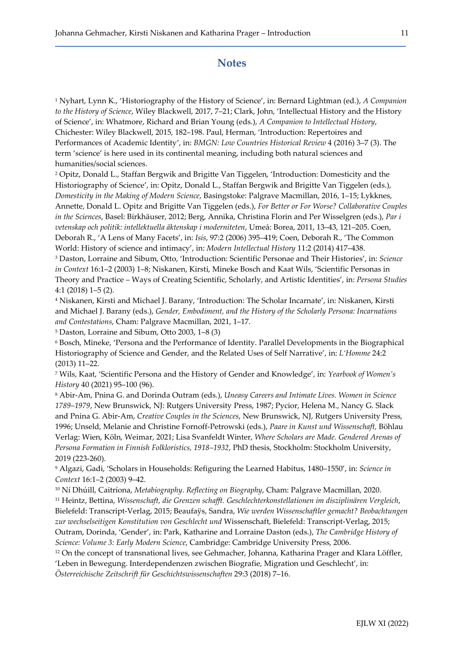### **Notes**

<sup>1</sup> Nyhart, Lynn K., 'Historiography of the History of Science', in: Bernard Lightman (ed.), *A Companion* to the History of Science, Wiley Blackwell, 2017, 7–21; Clark, John, 'Intellectual History and the History of Science', in: Whatmore, Richard and Brian Young (eds.), A Companion to Intellectual History, Chichester: Wiley Blackwell, 2015, 182–198. Paul, Herman, 'Introduction: Repertoires and Performances of Academic Identity', in: BMGN: Low Countries Historical Review 4 (2016) 3–7 (3). The term 'science' is here used in its continental meaning, including both natural sciences and humanities/social sciences.

2 Opitz, Donald L., Staffan Bergwik and Brigitte Van Tiggelen, 'Introduction: Domesticity and the Historiography of Science', in: Opitz, Donald L., Staffan Bergwik and Brigitte Van Tiggelen (eds.), Domesticity in the Making of Modern Science, Basingstoke: Palgrave Macmillan, 2016, 1–15; Lykknes, Annette, Donald L. Opitz and Brigitte Van Tiggelen (eds.), For Better or For Worse? Collaborative Couples in the Sciences, Basel: Birkhäuser, 2012; Berg, Annika, Christina Florin and Per Wisselgren (eds.), Par i vetenskap och politik: intellektuella äktenskap i moderniteten, Umeå: Borea, 2011, 13–43, 121–205. Coen, Deborah R., 'A Lens of Many Facets', in: Isis, 97:2 (2006) 395–419; Coen, Deborah R., 'The Common World: History of science and intimacy', in: Modern Intellectual History 11:2 (2014) 417–438.

<sup>3</sup> Daston, Lorraine and Sibum, Otto, 'Introduction: Scientific Personae and Their Histories', in: Science in Context 16:1–2 (2003) 1–8; Niskanen, Kirsti, Mineke Bosch and Kaat Wils, 'Scientific Personas in Theory and Practice – Ways of Creating Scientific, Scholarly, and Artistic Identities', in: Persona Studies 4:1 (2018) 1–5 (2).

4 Niskanen, Kirsti and Michael J. Barany, 'Introduction: The Scholar Incarnate', in: Niskanen, Kirsti and Michael J. Barany (eds.), Gender, Embodiment, and the History of the Scholarly Persona: Incarnations and Contestations, Cham: Palgrave Macmillan, 2021, 1–17.

5 Daston, Lorraine and Sibum, Otto 2003, 1–8 (3)

6 Bosch, Mineke, 'Persona and the Performance of Identity. Parallel Developments in the Biographical Historiography of Science and Gender, and the Related Uses of Self Narrative', in: L'Homme 24:2 (2013) 11–22.

<sup>7</sup> Wils, Kaat, 'Scientific Persona and the History of Gender and Knowledge', in: Yearbook of Women's History 40 (2021) 95–100 (96).

<sup>8</sup> Abir-Am, Pnina G. and Dorinda Outram (eds.), Uneasy Careers and Intimate Lives. Women in Science 1789–1979, New Brunswick, NJ: Rutgers University Press, 1987; Pycior, Helena M., Nancy G. Slack and Pnina G. Abir-Am, Creative Couples in the Sciences, New Brunswick, NJ, Rutgers University Press, 1996; Unseld, Melanie and Christine Fornoff-Petrowski (eds.), Paare in Kunst und Wissenschaft, Böhlau Verlag: Wien, Köln, Weimar, 2021; Lisa Svanfeldt Winter, Where Scholars are Made. Gendered Arenas of Persona Formation in Finnish Folkloristics, 1918–1932, PhD thesis, Stockholm: Stockholm University, 2019 (223-260).

<sup>9</sup> Algazi, Gadi, 'Scholars in Households: Refiguring the Learned Habitus, 1480–1550', in: *Science in* Context 16:1–2 (2003) 9–42.

<sup>10</sup> Ní Dhúill, Caitríona, Metabiography. Reflecting on Biography, Cham: Palgrave Macmillan, 2020. <sup>11</sup> Heintz, Bettina, Wissenschaft, die Grenzen schafft. Geschlechterkonstellationen im disziplinären Vergleich, Bielefeld: Transcript-Verlag, 2015; Beaufaÿs, Sandra, Wie werden Wissenschaftler gemacht? Beobachtungen zur wechselseitigen Konstitution von Geschlecht und Wissenschaft, Bielefeld: Transcript-Verlag, 2015; Outram, Dorinda, 'Gender', in: Park, Katharine and Lorraine Daston (eds.), The Cambridge History of Science: Volume 3: Early Modern Science, Cambridge: Cambridge University Press, 2006.

<sup>12</sup> On the concept of transnational lives, see Gehmacher, Johanna, Katharina Prager and Klara Löffler, 'Leben in Bewegung. Interdependenzen zwischen Biografie, Migration und Geschlecht', in:

Österreichische Zeitschrift für Geschichtswissenschaften 29:3 (2018) 7–16.